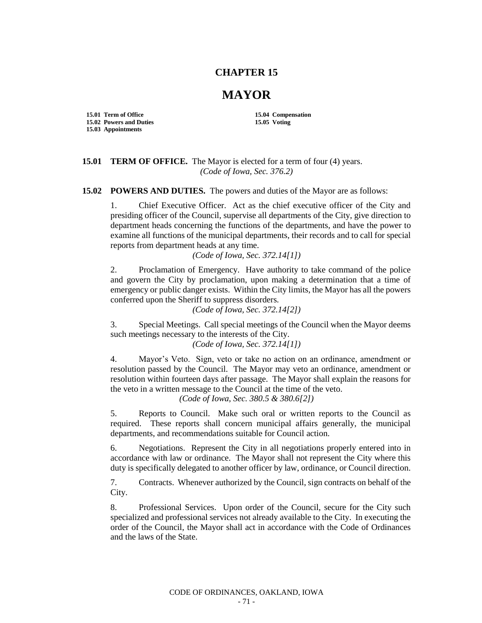## **CHAPTER 15**

## **MAYOR**

**15.01 Term of Office 15.04 Compensation 15.02 Powers and Duties 15.05 Voting 15.03 Appointments**

## **15.01 TERM OF OFFICE.** The Mayor is elected for a term of four (4) years. *(Code of Iowa, Sec. 376.2)*

**15.02 POWERS AND DUTIES.** The powers and duties of the Mayor are as follows:

1. Chief Executive Officer. Act as the chief executive officer of the City and presiding officer of the Council, supervise all departments of the City, give direction to department heads concerning the functions of the departments, and have the power to examine all functions of the municipal departments, their records and to call for special reports from department heads at any time.

*(Code of Iowa, Sec. 372.14[1])*

2. Proclamation of Emergency. Have authority to take command of the police and govern the City by proclamation, upon making a determination that a time of emergency or public danger exists. Within the City limits, the Mayor has all the powers conferred upon the Sheriff to suppress disorders.

*(Code of Iowa, Sec. 372.14[2])*

3. Special Meetings. Call special meetings of the Council when the Mayor deems such meetings necessary to the interests of the City.

*(Code of Iowa, Sec. 372.14[1])*

4. Mayor's Veto. Sign, veto or take no action on an ordinance, amendment or resolution passed by the Council. The Mayor may veto an ordinance, amendment or resolution within fourteen days after passage. The Mayor shall explain the reasons for the veto in a written message to the Council at the time of the veto.

*(Code of Iowa, Sec. 380.5 & 380.6[2])*

5. Reports to Council. Make such oral or written reports to the Council as required. These reports shall concern municipal affairs generally, the municipal departments, and recommendations suitable for Council action.

6. Negotiations. Represent the City in all negotiations properly entered into in accordance with law or ordinance. The Mayor shall not represent the City where this duty is specifically delegated to another officer by law, ordinance, or Council direction.

7. Contracts. Whenever authorized by the Council, sign contracts on behalf of the City.

8. Professional Services. Upon order of the Council, secure for the City such specialized and professional services not already available to the City. In executing the order of the Council, the Mayor shall act in accordance with the Code of Ordinances and the laws of the State.